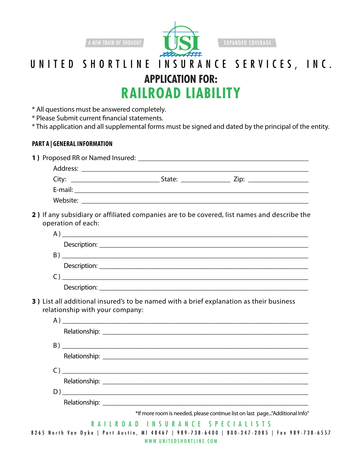

**EXPANDED COVERAGE** 

## **Application For: Railroad Liability** UNITED SHORTLINE INSURANCE SERVICES, INC.

- \* All questions must be answered completely.
- \* Please Submit current financial statements.
- \* This application and all supplemental forms must be signed and dated by the principal of the entity.

### **Part A | General Information**

|                                                |                                                                    | State: <u>Zip: Zip:</u> |  |
|------------------------------------------------|--------------------------------------------------------------------|-------------------------|--|
| E-mail: <u>_______________________________</u> |                                                                    |                         |  |
| Website:                                       | <u> 1980 - Jan Samuel Barbara, margaret eta idazlea (h. 1980).</u> |                         |  |
|                                                |                                                                    |                         |  |

**2 )** If any subsidiary or affiliated companies are to be covered, list names and describe the operation of each:

| <u> 1989 - John Stone, Amerikaansk politiker (* 1989)</u> |
|-----------------------------------------------------------|
|                                                           |
|                                                           |
| Description: Description:                                 |

**3 )** List all additional insured's to be named with a brief explanation as their business relationship with your company:

| $\mathsf{C}$ )                                                              |
|-----------------------------------------------------------------------------|
|                                                                             |
|                                                                             |
|                                                                             |
| *If more room is needed, please continue list on last page"Additional Info" |
| RAILROAD INSURANCE SPECIALISTS                                              |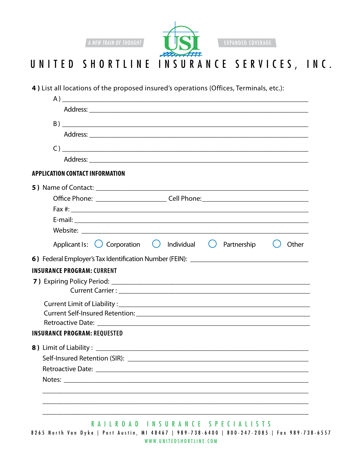

#### UNITED SHORTLINE INSURANCE SERVICES, INC.

4) List all locations of the proposed insured's operations (Offices, Terminals, etc.):

| Other |
|-------|
|       |
|       |
|       |
|       |
|       |
|       |
|       |
|       |
|       |
|       |
|       |
|       |
|       |
|       |
|       |

RAILROAD INSURANCE SPECIALISTS 8265 North Van Dyke | Port Austin, MI 48467 | 989-738-6400 | 800-247-2085 | Fax 989-738-6557 WWW.UNITEDSHORTLINE.COM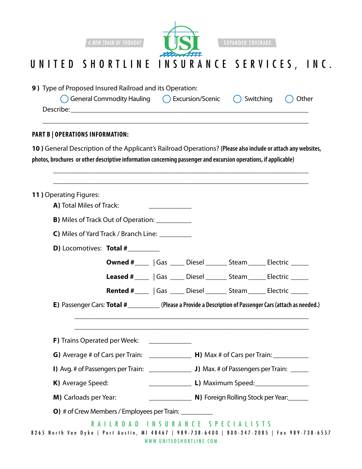

EXPANDED COVERAGE

## UNITED SHORTLINE INSURANCE SERVICES, INC.

| 9) Type of Proposed Insured Railroad and its Operation:<br>General Commodity Hauling () Excursion/Scenic                                                                                                                         |                                                                              | Switching | Other |
|----------------------------------------------------------------------------------------------------------------------------------------------------------------------------------------------------------------------------------|------------------------------------------------------------------------------|-----------|-------|
| <b>PART B   OPERATIONS INFORMATION:</b>                                                                                                                                                                                          |                                                                              |           |       |
| 10) General Description of the Applicant's Railroad Operations? (Please also include or attach any websites,<br>photos, brochures or other descriptive information concerning passenger and excursion operations, if applicable) |                                                                              |           |       |
| <b>11) Operating Figures:</b><br>A) Total Miles of Track:                                                                                                                                                                        |                                                                              |           |       |
| <b>B)</b> Miles of Track Out of Operation: ____________                                                                                                                                                                          |                                                                              |           |       |
| C) Miles of Yard Track / Branch Line: __________                                                                                                                                                                                 |                                                                              |           |       |
| <b>D)</b> Locomotives: Total #                                                                                                                                                                                                   |                                                                              |           |       |
|                                                                                                                                                                                                                                  | <b>Owned #</b> _____   Gas _____ Diesel _______ Steam ______ Electric ______ |           |       |
|                                                                                                                                                                                                                                  | Leased # ____   Gas ____ Diesel ______ Steam _____ Electric _____            |           |       |
|                                                                                                                                                                                                                                  | <b>Rented #</b>   Gas   Diesel   Steam   Electric                            |           |       |
| E) Passenger Cars: Total #__________(Please a Provide a Description of Passenger Cars (attach as needed.)                                                                                                                        |                                                                              |           |       |
| <b>F)</b> Trains Operated per Week:                                                                                                                                                                                              |                                                                              |           |       |
| G) Average # of Cars per Train: $\qquad \qquad$ H) Max # of Cars per Train:                                                                                                                                                      |                                                                              |           |       |
|                                                                                                                                                                                                                                  |                                                                              |           |       |
| K) Average Speed:                                                                                                                                                                                                                | L) Maximum Speed: ________________                                           |           |       |
| M) Carloads per Year:                                                                                                                                                                                                            | <b>N)</b> Foreign Rolling Stock per Year:                                    |           |       |
| <b>O)</b> # of Crew Members / Employees per Train:                                                                                                                                                                               |                                                                              |           |       |
| RAILROAD INSURANCE SPECIALISTS<br>8265 North Van Dyke   Port Austin, MI 48467   989-738-6400   800-247-2085   Fax 989-738-6557                                                                                                   | WWW.UNITEDSHORTLINE.COM                                                      |           |       |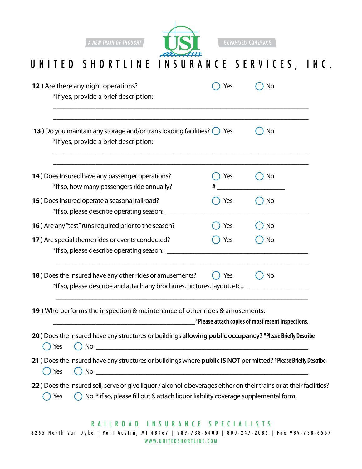

**EXPANDED COVERAGE** 

## UNITED SHORTLINE INSURANCE SERVICES, INC.

| 12) Are there any night operations?<br>*If yes, provide a brief description:                                                                                                                                                                            | Yes | Νo                                                |
|---------------------------------------------------------------------------------------------------------------------------------------------------------------------------------------------------------------------------------------------------------|-----|---------------------------------------------------|
| 13) Do you maintain any storage and/or trans loading facilities? () Yes<br>*If yes, provide a brief description:                                                                                                                                        |     | No                                                |
| 14) Does Insured have any passenger operations?<br>*If so, how many passengers ride annually?                                                                                                                                                           | Yes | No.                                               |
| 15) Does Insured operate a seasonal railroad?<br>*If so, please describe operating season: ____                                                                                                                                                         | Yes | No.                                               |
| 16) Are any "test" runs required prior to the season?                                                                                                                                                                                                   | Yes | No                                                |
| 17) Are special theme rides or events conducted?<br>*If so, please describe operating season:                                                                                                                                                           | Yes | No                                                |
| 18) Does the Insured have any other rides or amusements?<br>*If so, please describe and attach any brochures, pictures, layout, etc _                                                                                                                   | Yes | No                                                |
| 19) Who performs the inspection & maintenance of other rides & amusements:                                                                                                                                                                              |     | *Please attach copies of most recent inspections. |
| 20) Does the Insured have any structures or buildings allowing public occupancy? *Please Briefly Describe<br><b>No</b><br>Yes<br><u> 1989 - Johann Stoff, deutscher Stoffen und der Stoffen und der Stoffen und der Stoffen und der Stoffen und der</u> |     |                                                   |
| 21 ) Does the Insured have any structures or buildings where public IS NOT permitted? *Please Briefly Describe<br>$\bigcap$ No $\Box$<br>() Yes                                                                                                         |     |                                                   |
| 22) Does the Insured sell, serve or give liquor / alcoholic beverages either on their trains or at their facilities?<br>◯ No * if so, please fill out & attach liquor liability coverage supplemental form<br>Yes                                       |     |                                                   |

www.UnitedShortline.com 8265 North Van Dyke | Port Austin, MI 48467 | 989-738-6400 | 800-247-2085 | Fax 989-738-6557 RAILROAD IN SURANCE SPECIALISTS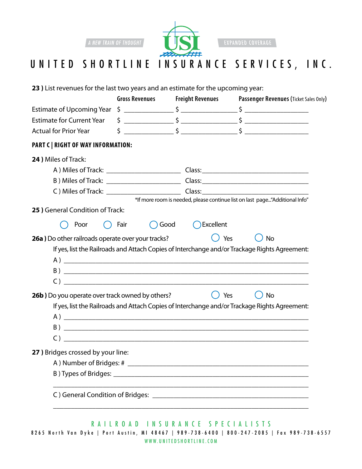

### UNITED SHORTLINE INSURANCE SERVICES, INC.

**23 )** List revenues for the last two years and an estimate for the upcoming year:

|                                                                                     | <b>Gross Revenues</b>  | <b>Freight Revenues</b>                                                                                                                                                                                                                                                                                                             | Passenger Revenues (Ticket Sales Only)                                                                                                                                                                                                                                                                                              |
|-------------------------------------------------------------------------------------|------------------------|-------------------------------------------------------------------------------------------------------------------------------------------------------------------------------------------------------------------------------------------------------------------------------------------------------------------------------------|-------------------------------------------------------------------------------------------------------------------------------------------------------------------------------------------------------------------------------------------------------------------------------------------------------------------------------------|
|                                                                                     |                        |                                                                                                                                                                                                                                                                                                                                     |                                                                                                                                                                                                                                                                                                                                     |
| Estimate for Current Year $\begin{array}{ccc} \xi & \xi & \xi & \xi \\ \end{array}$ |                        |                                                                                                                                                                                                                                                                                                                                     |                                                                                                                                                                                                                                                                                                                                     |
| <b>Actual for Prior Year</b>                                                        |                        |                                                                                                                                                                                                                                                                                                                                     | $\frac{1}{2}$ $\frac{1}{2}$ $\frac{1}{2}$ $\frac{1}{2}$ $\frac{1}{2}$ $\frac{1}{2}$ $\frac{1}{2}$ $\frac{1}{2}$ $\frac{1}{2}$ $\frac{1}{2}$ $\frac{1}{2}$ $\frac{1}{2}$ $\frac{1}{2}$ $\frac{1}{2}$ $\frac{1}{2}$ $\frac{1}{2}$ $\frac{1}{2}$ $\frac{1}{2}$ $\frac{1}{2}$ $\frac{1}{2}$ $\frac{1}{2}$ $\frac{1}{2}$                 |
| <b>PART C   RIGHT OF WAY INFORMATION:</b>                                           |                        |                                                                                                                                                                                                                                                                                                                                     |                                                                                                                                                                                                                                                                                                                                     |
| 24) Miles of Track:                                                                 |                        |                                                                                                                                                                                                                                                                                                                                     |                                                                                                                                                                                                                                                                                                                                     |
|                                                                                     |                        |                                                                                                                                                                                                                                                                                                                                     |                                                                                                                                                                                                                                                                                                                                     |
|                                                                                     |                        |                                                                                                                                                                                                                                                                                                                                     |                                                                                                                                                                                                                                                                                                                                     |
|                                                                                     |                        |                                                                                                                                                                                                                                                                                                                                     |                                                                                                                                                                                                                                                                                                                                     |
|                                                                                     |                        |                                                                                                                                                                                                                                                                                                                                     | *If more room is needed, please continue list on last page"Additional Info"                                                                                                                                                                                                                                                         |
| 25 ) General Condition of Track:                                                    |                        |                                                                                                                                                                                                                                                                                                                                     |                                                                                                                                                                                                                                                                                                                                     |
|                                                                                     | Fair<br>$\overline{C}$ | ◯ Excellent<br>Good                                                                                                                                                                                                                                                                                                                 |                                                                                                                                                                                                                                                                                                                                     |
| Poor<br>$^{\rm (+)}$                                                                |                        |                                                                                                                                                                                                                                                                                                                                     |                                                                                                                                                                                                                                                                                                                                     |
|                                                                                     |                        |                                                                                                                                                                                                                                                                                                                                     |                                                                                                                                                                                                                                                                                                                                     |
| 26a ) Do other railroads operate over your tracks?                                  |                        | Yes                                                                                                                                                                                                                                                                                                                                 | No                                                                                                                                                                                                                                                                                                                                  |
|                                                                                     |                        |                                                                                                                                                                                                                                                                                                                                     | If yes, list the Railroads and Attach Copies of Interchange and/or Trackage Rights Agreement:                                                                                                                                                                                                                                       |
|                                                                                     |                        |                                                                                                                                                                                                                                                                                                                                     |                                                                                                                                                                                                                                                                                                                                     |
|                                                                                     |                        |                                                                                                                                                                                                                                                                                                                                     |                                                                                                                                                                                                                                                                                                                                     |
|                                                                                     |                        | $\overline{C}$ ) and $\overline{C}$ and $\overline{C}$ and $\overline{C}$ and $\overline{C}$ and $\overline{C}$ and $\overline{C}$ and $\overline{C}$ and $\overline{C}$ and $\overline{C}$ and $\overline{C}$ and $\overline{C}$ and $\overline{C}$ and $\overline{C}$ and $\overline{C}$ and $\overline{C}$ and $\overline{C}$ an |                                                                                                                                                                                                                                                                                                                                     |
| 26b) Do you operate over track owned by others?                                     |                        | Yes                                                                                                                                                                                                                                                                                                                                 | No                                                                                                                                                                                                                                                                                                                                  |
|                                                                                     |                        |                                                                                                                                                                                                                                                                                                                                     | If yes, list the Railroads and Attach Copies of Interchange and/or Trackage Rights Agreement:                                                                                                                                                                                                                                       |
|                                                                                     |                        |                                                                                                                                                                                                                                                                                                                                     |                                                                                                                                                                                                                                                                                                                                     |
|                                                                                     |                        |                                                                                                                                                                                                                                                                                                                                     |                                                                                                                                                                                                                                                                                                                                     |
|                                                                                     |                        |                                                                                                                                                                                                                                                                                                                                     | $\overline{C}$ ) and $\overline{C}$ and $\overline{C}$ and $\overline{C}$ and $\overline{C}$ and $\overline{C}$ and $\overline{C}$ and $\overline{C}$ and $\overline{C}$ and $\overline{C}$ and $\overline{C}$ and $\overline{C}$ and $\overline{C}$ and $\overline{C}$ and $\overline{C}$ and $\overline{C}$ and $\overline{C}$ an |
| 27 ) Bridges crossed by your line:                                                  |                        |                                                                                                                                                                                                                                                                                                                                     |                                                                                                                                                                                                                                                                                                                                     |
|                                                                                     |                        |                                                                                                                                                                                                                                                                                                                                     |                                                                                                                                                                                                                                                                                                                                     |
|                                                                                     |                        |                                                                                                                                                                                                                                                                                                                                     |                                                                                                                                                                                                                                                                                                                                     |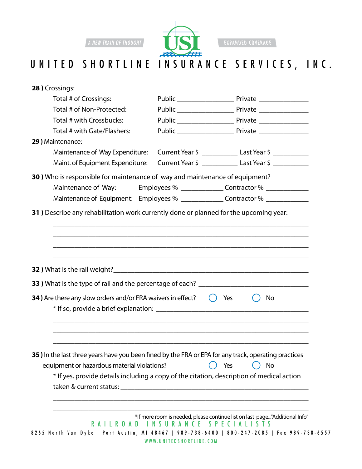

**EXPANDED COVERAGE** 

## UNITED SHORTLINE INSURANCE SERVICES, INC.

| 28 ) Crossings:                                                                                      |                         |                                                                                              |
|------------------------------------------------------------------------------------------------------|-------------------------|----------------------------------------------------------------------------------------------|
| Total # of Crossings:                                                                                |                         |                                                                                              |
| Total # of Non-Protected:                                                                            |                         |                                                                                              |
| Total # with Crossbucks:                                                                             |                         |                                                                                              |
| Total # with Gate/Flashers:                                                                          |                         |                                                                                              |
| 29) Maintenance:                                                                                     |                         |                                                                                              |
|                                                                                                      |                         | Maintenance of Way Expenditure: Current Year \$ ___________________ Last Year \$             |
|                                                                                                      |                         | Maint. of Equipment Expenditure: Current Year \$ ________________ Last Year \$ ___________   |
| 30) Who is responsible for maintenance of way and maintenance of equipment?                          |                         |                                                                                              |
| Maintenance of Way:                                                                                  |                         | Employees % _______________Contractor % ______________                                       |
|                                                                                                      |                         | Maintenance of Equipment: Employees % _______________Contractor % ______________             |
| 31) Describe any rehabilitation work currently done or planned for the upcoming year:                |                         |                                                                                              |
|                                                                                                      |                         |                                                                                              |
|                                                                                                      |                         |                                                                                              |
|                                                                                                      |                         |                                                                                              |
|                                                                                                      |                         |                                                                                              |
|                                                                                                      |                         |                                                                                              |
|                                                                                                      |                         |                                                                                              |
|                                                                                                      |                         |                                                                                              |
| 34) Are there any slow orders and/or FRA waivers in effect?                                          |                         | $()$ Yes<br>No                                                                               |
|                                                                                                      |                         |                                                                                              |
|                                                                                                      |                         |                                                                                              |
|                                                                                                      |                         |                                                                                              |
|                                                                                                      |                         |                                                                                              |
|                                                                                                      |                         |                                                                                              |
| 35) In the last three years have you been fined by the FRA or EPA for any track, operating practices |                         |                                                                                              |
| equipment or hazardous material violations?                                                          |                         | Yes<br>No                                                                                    |
|                                                                                                      |                         | * If yes, provide details including a copy of the citation, description of medical action    |
|                                                                                                      |                         |                                                                                              |
|                                                                                                      |                         |                                                                                              |
|                                                                                                      |                         | *If more room is needed, please continue list on last page"Additional Info"                  |
| R A I I R O A D                                                                                      |                         | INSURANCE SPECIALISTS                                                                        |
|                                                                                                      |                         | 8265 North Van Dyke   Port Austin, MI 48467   989-738-6400   800-247-2085   Fax 989-738-6557 |
|                                                                                                      | WWW.UNITEDSHORTLINE.COM |                                                                                              |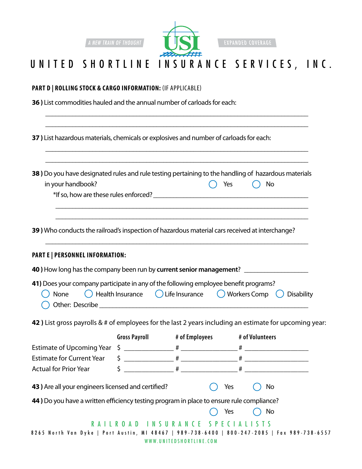

EXPANDED COVERAGE

### UNITED SHORTLINE INSURANCE SERVICES, INC.

\_\_\_\_\_\_\_\_\_\_\_\_\_\_\_\_\_\_\_\_\_\_\_\_\_\_\_\_\_\_\_\_\_\_\_\_\_\_\_\_\_\_\_\_\_\_\_\_\_\_\_\_\_\_\_\_\_\_\_\_\_\_\_\_\_\_\_\_\_\_\_\_\_\_\_\_\_\_ \_\_\_\_\_\_\_\_\_\_\_\_\_\_\_\_\_\_\_\_\_\_\_\_\_\_\_\_\_\_\_\_\_\_\_\_\_\_\_\_\_\_\_\_\_\_\_\_\_\_\_\_\_\_\_\_\_\_\_\_\_\_\_\_\_\_\_\_\_\_\_\_\_\_\_\_\_\_

\_\_\_\_\_\_\_\_\_\_\_\_\_\_\_\_\_\_\_\_\_\_\_\_\_\_\_\_\_\_\_\_\_\_\_\_\_\_\_\_\_\_\_\_\_\_\_\_\_\_\_\_\_\_\_\_\_\_\_\_\_\_\_\_\_\_\_\_\_\_\_\_\_\_\_\_\_\_ \_\_\_\_\_\_\_\_\_\_\_\_\_\_\_\_\_\_\_\_\_\_\_\_\_\_\_\_\_\_\_\_\_\_\_\_\_\_\_\_\_\_\_\_\_\_\_\_\_\_\_\_\_\_\_\_\_\_\_\_\_\_\_\_\_\_\_\_\_\_\_\_\_\_\_\_\_\_

|  |  | <b>PART D   ROLLING STOCK &amp; CARGO INFORMATION: (IF APPLICABLE)</b> |  |
|--|--|------------------------------------------------------------------------|--|
|--|--|------------------------------------------------------------------------|--|

**36 )** List commodities hauled and the annual number of carloads for each:

**37 )** List hazardous materials, chemicals or explosives and number of carloads for each:

| 38) Do you have designated rules and rule testing pertaining to the handling of hazardous materials |                              |  |
|-----------------------------------------------------------------------------------------------------|------------------------------|--|
| in your handbook?                                                                                   | $\bigcirc$ Yes $\bigcirc$ No |  |

\_\_\_\_\_\_\_\_\_\_\_\_\_\_\_\_\_\_\_\_\_\_\_\_\_\_\_\_\_\_\_\_\_\_\_\_\_\_\_\_\_\_\_\_\_\_\_\_\_\_\_\_\_\_\_\_\_\_\_\_\_\_\_\_\_\_\_\_\_\_\_\_\_\_\_

\_\_\_\_\_\_\_\_\_\_\_\_\_\_\_\_\_\_\_\_\_\_\_\_\_\_\_\_\_\_\_\_\_\_\_\_\_\_\_\_\_\_\_\_\_\_\_\_\_\_\_\_\_\_\_\_\_\_\_\_\_\_\_\_\_\_\_\_\_\_\_\_\_\_\_\_\_\_

| *If so, how are these rules enforced? |  |
|---------------------------------------|--|
|                                       |  |

**39 )** Who conducts the railroad's inspection of hazardous material cars received at interchange?

\_\_\_\_\_\_\_\_\_\_\_\_\_\_\_\_\_\_\_\_\_\_\_\_\_\_\_\_\_\_\_\_\_\_\_\_\_\_\_\_\_\_\_\_\_\_\_\_\_\_\_\_\_\_\_\_\_\_\_\_\_\_\_\_\_\_\_\_\_\_\_\_\_\_\_

#### **PART E | Personnel Information:**

| 40) How long has the company been run by current senior management?                                                                                |  |  |
|----------------------------------------------------------------------------------------------------------------------------------------------------|--|--|
| 41) Does your company participate in any of the following employee benefit programs?                                                               |  |  |
| $\bigcap_{k=1}^{\infty}$ None $\bigcap_{k=1}^{\infty}$ Hollingurance $\bigcap_{k=1}^{\infty}$ If a Incurance $\bigcap_{k=1}^{\infty}$ Morkers Comp |  |  |

|                            | (C) None (C) Health Insurance (C) Life Insurance (C) Workers Comp (C) Disability |  |  |
|----------------------------|----------------------------------------------------------------------------------|--|--|
| $\bigcirc$ Other: Describe |                                                                                  |  |  |

**42 )** List gross payrolls & # of employees for the last 2 years including an estimate for upcoming year:

|                                                                                          | <b>Gross Payroll</b> | # of Employees          | # of Volunteers                                                                              |
|------------------------------------------------------------------------------------------|----------------------|-------------------------|----------------------------------------------------------------------------------------------|
|                                                                                          |                      |                         | $\#$ and $\#$ and $\#$ and $\#$                                                              |
| <b>Estimate for Current Year</b>                                                         |                      |                         | $\begin{array}{ccc} \textsf{S} & & \textsf{#} \end{array}$                                   |
| Actual for Prior Year                                                                    |                      |                         |                                                                                              |
| 43) Are all your engineers licensed and certified?                                       |                      | Yes                     | No.                                                                                          |
| 44) Do you have a written efficiency testing program in place to ensure rule compliance? |                      |                         |                                                                                              |
|                                                                                          |                      | Yes                     | No                                                                                           |
|                                                                                          |                      |                         |                                                                                              |
|                                                                                          |                      |                         | 8265 North Van Dyke   Port Austin, MI 48467   989-738-6400   800-247-2085   Fax 989-738-6557 |
|                                                                                          |                      | WWW.UNITEDSHORTLINE.COM |                                                                                              |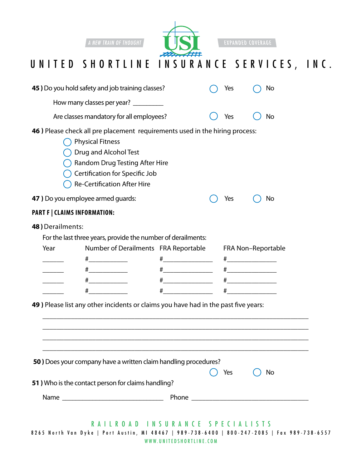

**EXPANDED COVERAGE** 

# UNITED SHORTLINE INSURANCE SERVICES, INC.

|                                     | 45 ) Do you hold safety and job training classes?                                                                                                                                                                                         |                                                 | Yes                                          | No |
|-------------------------------------|-------------------------------------------------------------------------------------------------------------------------------------------------------------------------------------------------------------------------------------------|-------------------------------------------------|----------------------------------------------|----|
|                                     | How many classes per year? __________                                                                                                                                                                                                     |                                                 |                                              |    |
|                                     | Are classes mandatory for all employees?                                                                                                                                                                                                  |                                                 | Yes                                          | No |
|                                     | 46) Please check all pre placement requirements used in the hiring process:<br><b>Physical Fitness</b><br>Drug and Alcohol Test<br>Random Drug Testing After Hire<br>Certification for Specific Job<br><b>Re-Certification After Hire</b> |                                                 |                                              |    |
| 47 ) Do you employee armed guards:  |                                                                                                                                                                                                                                           |                                                 | Yes                                          | No |
| <b>PART F   CLAIMS INFORMATION:</b> |                                                                                                                                                                                                                                           |                                                 |                                              |    |
| 48) Derailments:<br>Year<br>#       | For the last three years, provide the number of derailments:<br>Number of Derailments FRA Reportable<br>#_______________<br>$\frac{+}{+}$<br>49) Please list any other incidents or claims you have had in the past five years:           | #_____________________<br>$\frac{+}{+}$<br>$\#$ | FRA Non-Reportable<br>$\#$ and $\#$ and $\#$ |    |
|                                     | 50) Does your company have a written claim handling procedures?<br>51) Who is the contact person for claims handling?                                                                                                                     |                                                 | Yes                                          | No |
|                                     |                                                                                                                                                                                                                                           |                                                 |                                              |    |
|                                     | RAILROAD INSURANCE SPECIALISTS<br>8265 North Van Dyke   Port Austin, MI 48467   989-738-6400   800-247-2085   Fax 989-738-6557                                                                                                            | WWW.UNITEDSHORTLINE.COM                         |                                              |    |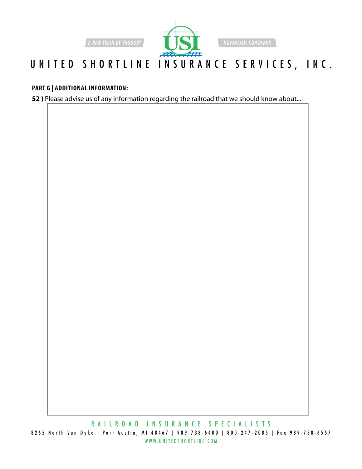

**EXPANDED COVERAGE** 

## UNITED SHORTLINE INSURANCE SERVICES, INC.

#### **PART G | Additional Information:**

**52 )** Please advise us of any information regarding the railroad that we should know about...

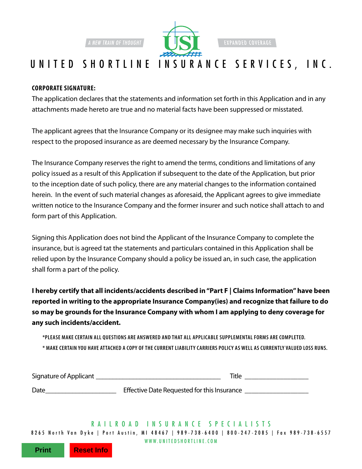

**EXPANDED COVERAGE** 

### UNITED SHORTLINE INSURANCE SERVICES, INC.

#### **Corporate Signature:**

The application declares that the statements and information set forth in this Application and in any attachments made hereto are true and no material facts have been suppressed or misstated.

The applicant agrees that the Insurance Company or its designee may make such inquiries with respect to the proposed insurance as are deemed necessary by the Insurance Company.

The Insurance Company reserves the right to amend the terms, conditions and limitations of any policy issued as a result of this Application if subsequent to the date of the Application, but prior to the inception date of such policy, there are any material changes to the information contained herein. In the event of such material changes as aforesaid, the Applicant agrees to give immediate written notice to the Insurance Company and the former insurer and such notice shall attach to and form part of this Application.

Signing this Application does not bind the Applicant of the Insurance Company to complete the insurance, but is agreed tat the statements and particulars contained in this Application shall be relied upon by the Insurance Company should a policy be issued an, in such case, the application shall form a part of the policy.

**I hereby certify that all incidents/accidents described in "Part F | Claims Information" have been reported in writing to the appropriate Insurance Company(ies) and recognize that failure to do so may be grounds for the Insurance Company with whom I am applying to deny coverage for any such incidents/accident.**

**\*PLEASE MAKE CERTAIN ALL QUESTIONS ARE ANSWERED AND THAT ALL APPLICABLE SUPPLEMENTAL FORMS ARE COMPLETED. \* MAKE CERTAIN YOU HAVE ATTACHED A COPY OF THE CURRENT LIABILITY CARRIERS POLIC Y AS WELL AS CURRENTLY VALUED LOSS RUNS.** 

| Signature of Applicant | Title                                       |
|------------------------|---------------------------------------------|
| Date                   | Effective Date Requested for this Insurance |

www.UnitedShortline.com 8265 N orth V an D yke | Port A ustin, MI 48467 | 989-738-6400 | 800-247-2085 | Fax 989-738-6557 RAILROAD IN S U RANCE SP ECIALI S T S